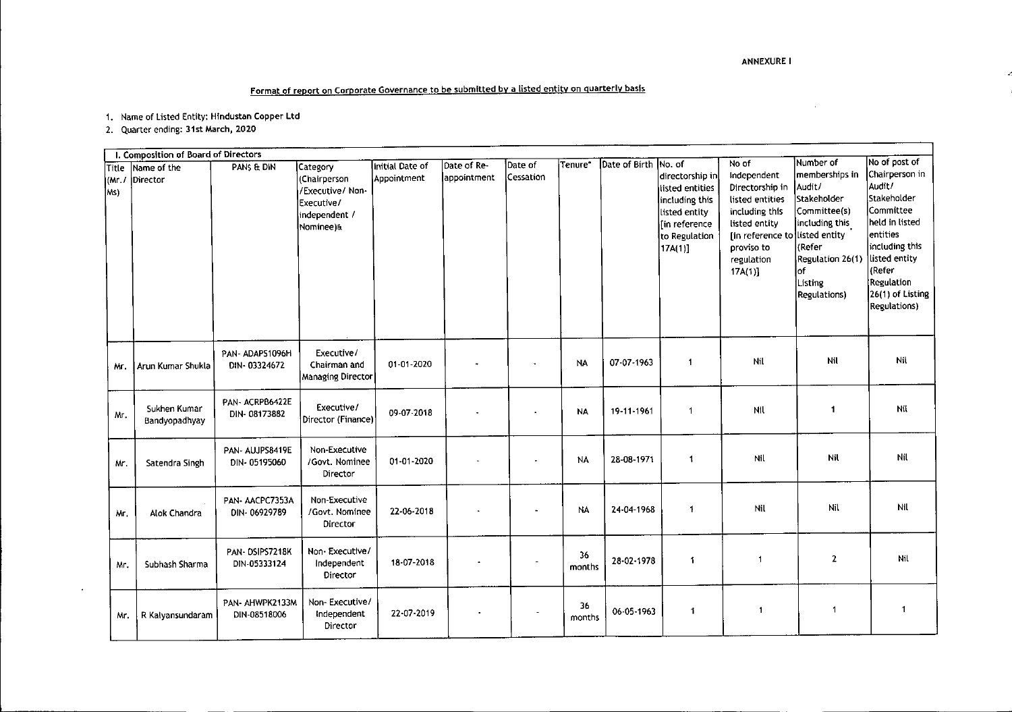## ANNEXURE I

 $\sim$ 

ż

# **Format of report on Corporate Governance to be submitted by a listed entity on quarterly basis**

**1. Name of Listed Entity: Hlndustan Copper Ltd**

**2. Quarter ending: 31st March, 2020**

 $\Delta$ 

| I. Composition of Board of Directors |                               |                                 |                                                                              |                 |                            |                      |              |               |                                                                                                    |                                                                                                                                               |                                                                                                                         |                                                                                                                                                                           |
|--------------------------------------|-------------------------------|---------------------------------|------------------------------------------------------------------------------|-----------------|----------------------------|----------------------|--------------|---------------|----------------------------------------------------------------------------------------------------|-----------------------------------------------------------------------------------------------------------------------------------------------|-------------------------------------------------------------------------------------------------------------------------|---------------------------------------------------------------------------------------------------------------------------------------------------------------------------|
| Title                                | Name of the                   | PANS & DIN                      | Category                                                                     | Initial Date of | Date of Re-<br>appointment | Date of<br>Cessation | Tenure*      | Date of Birth | No. of<br>directorship in                                                                          | No of<br>Independent                                                                                                                          | Number of<br>memberships in                                                                                             | No of post of<br>Chairperson in                                                                                                                                           |
| KMr./<br>lMs)                        | Director                      |                                 | (Chairperson<br>/Executive/ Non-<br>Executive/<br>independent /<br>Nominee)& | Appointment     |                            |                      |              |               | listed entities<br>including this<br>listed entity<br>[in reference<br>to Regulation<br>$17A(1)$ ] | Directorship in<br>listed entities<br>including this<br>listed entity<br>[in reference to listed entity<br>proviso to<br>regulation<br>17A(1) | Audit/<br>Stakeholder<br>Committee(s)<br>including this<br>(Refer<br>Regulation 26(1)<br>lof<br>Listing<br>Regulations) | Audit/<br>Stakeholder<br>lCommittee<br>held in listed<br>entities<br>including this<br>listed entity<br>kRefer  <br><b>Regulation</b><br>26(1) of Listing<br>Regulations) |
| ٨ır.                                 | Arun Kumar Shukla             | PAN-ADAPS1096H<br>DIN-03324672  | Executive/<br>Chairman and<br>Managing Director                              | 01-01-2020      |                            |                      | <b>NA</b>    | 07-07-1963    | $\overline{\mathbf{1}}$                                                                            | Nil                                                                                                                                           | Nil                                                                                                                     | Nil                                                                                                                                                                       |
| Mr.                                  | Sukhen Kumar<br>Bandyopadhyay | PAN-ACRPB6422E<br>DIN-08173882  | Executive/<br>Director (Finance)                                             | 09-07-2018      |                            | $\bullet$            | <b>NA</b>    | 19-11-1961    | $\overline{1}$                                                                                     | Nfl                                                                                                                                           | $\mathbf{1}$                                                                                                            | Nil                                                                                                                                                                       |
| Mr.                                  | Satendra Singh                | PAN- AUJPS8419E<br>DIN-05195060 | Non-Executive<br>/Govt. Nominee<br>Director                                  | 01-01-2020      |                            |                      | NA           | 28-08-1971    | $\mathbf 1$                                                                                        | Nil                                                                                                                                           | Nil                                                                                                                     | Nil                                                                                                                                                                       |
| Mr.                                  | Alok Chandra                  | PAN-AACPC7353A<br>DIN-06929789  | Non-Executive<br>/Govt. Nominee<br>Director                                  | 22-06-2018      |                            |                      | NA           | 24-04-1968    | -1                                                                                                 | Nil                                                                                                                                           | Nil                                                                                                                     | Nil                                                                                                                                                                       |
| Mr.                                  | Subhash Sharma                | PAN-DSIPS7218K<br>DIN-05333124  | Non Executive/<br>Independent<br>Director                                    | 18-07-2018      |                            |                      | 36<br>months | 28-02-1978    | $\ddot{\mathbf{1}}$                                                                                | -1                                                                                                                                            | $\overline{2}$                                                                                                          | Nil                                                                                                                                                                       |
| Mr.                                  | R Kalyansundaram              | PAN- AHWPK2133M<br>DIN-08518006 | Non-Executive/<br>Independent<br>Director                                    | 22-07-2019      |                            |                      | 36<br>months | 06-05-1963    | 1                                                                                                  | 1                                                                                                                                             | $\mathbf{1}$                                                                                                            | 1                                                                                                                                                                         |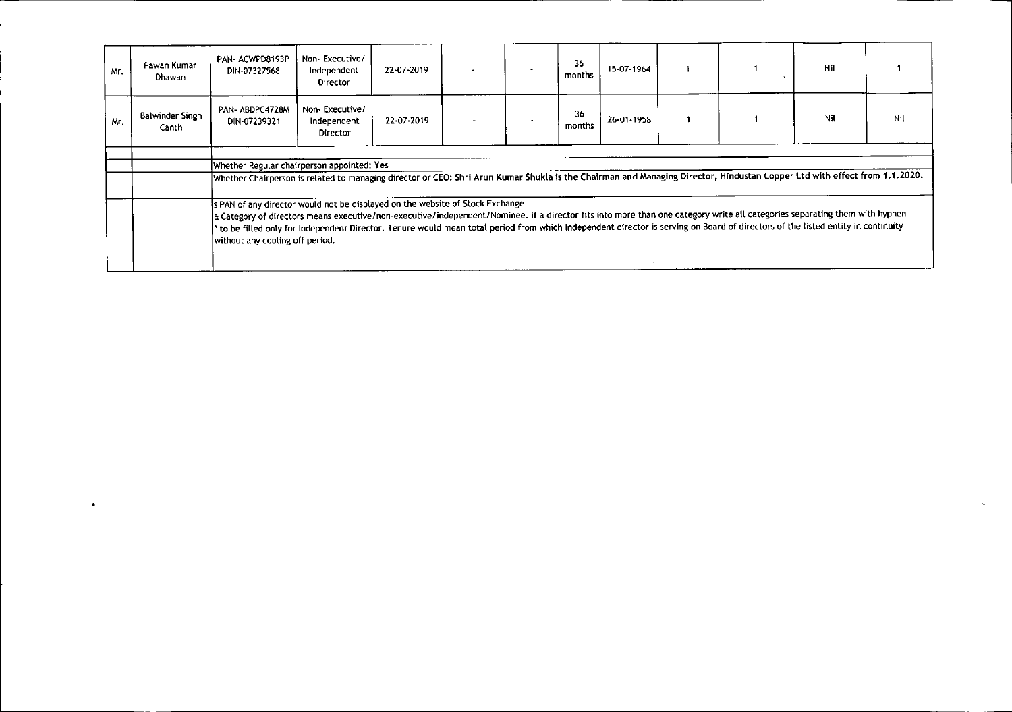| Mr. | Pawan Kumar<br>Dhawan           | PAN-ACWPD8193P<br>DIN-07327568                                                                                                                                                                                                                                                                                                                                                                                                                                                   | Non-Executive/<br>Independent<br>Director | 22-07-2019 |  | $\overline{\phantom{a}}$ | 36<br>months | 15-07-1964 |  |  | Nil |     |
|-----|---------------------------------|----------------------------------------------------------------------------------------------------------------------------------------------------------------------------------------------------------------------------------------------------------------------------------------------------------------------------------------------------------------------------------------------------------------------------------------------------------------------------------|-------------------------------------------|------------|--|--------------------------|--------------|------------|--|--|-----|-----|
| Mr. | <b>Balwinder Singh</b><br>Canth | PAN-ABDPC4728M<br>DIN-07239321                                                                                                                                                                                                                                                                                                                                                                                                                                                   | Non-Executive/<br>Independent<br>Director | 22-07-2019 |  |                          | 36<br>months | 26-01-1958 |  |  | Nil | Nil |
|     |                                 |                                                                                                                                                                                                                                                                                                                                                                                                                                                                                  |                                           |            |  |                          |              |            |  |  |     |     |
|     |                                 | Whether Regular chairperson appointed: Yes                                                                                                                                                                                                                                                                                                                                                                                                                                       |                                           |            |  |                          |              |            |  |  |     |     |
|     |                                 | Whether Chairperson is related to managing director or CEO: Shri Arun Kumar Shukla is the Chairman and Managing Director, Hindustan Copper Ltd with effect from 1.1.2020.                                                                                                                                                                                                                                                                                                        |                                           |            |  |                          |              |            |  |  |     |     |
|     |                                 | S PAN of any director would not be displayed on the website of Stock Exchange<br>E Category of directors means executive/non-executive/independent/Nominee. if a director fits into more than one category write all categories separating them with hyphen<br>to be filled only for Independent Director. Tenure would mean total period from which Independent director is serving on Board of directors of the listed entity in continuity<br>without any cooling off period. |                                           |            |  |                          |              |            |  |  |     |     |

J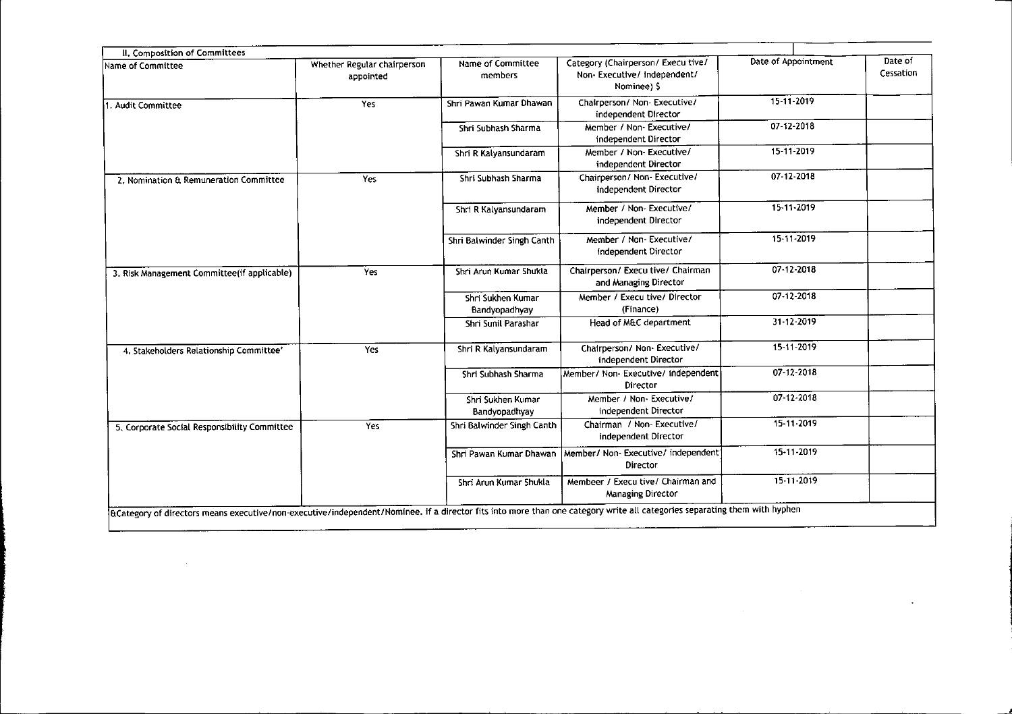| II. Composition of Committees<br>Name of Committee | Whether Regular chairperson | Name of Committee                  | Category (Chairperson/ Execu tive/                         | Date of Appointment | Date of   |
|----------------------------------------------------|-----------------------------|------------------------------------|------------------------------------------------------------|---------------------|-----------|
|                                                    | appointed                   | members                            | Non-Executive/ independent/<br>Nominee) \$                 |                     | Cessation |
| 1. Audit Committee                                 | Yes                         | Shri Pawan Kumar Dhawan            | Chairperson/ Non-Executive/<br>independent Director        | 15-11-2019          |           |
|                                                    |                             | Shri Subhash Sharma                | Member / Non-Executive/<br>independent Director            | 07-12-2018          |           |
|                                                    |                             | Shri R Kalyansundaram              | Member / Non- Executive/<br>independent Director           | 15-11-2019          |           |
| 2. Nomination & Remuneration Committee             | Yes                         | Shri Subhash Sharma                | Chairperson/ Non- Executive/<br>independent Director       | 07-12-2018          |           |
|                                                    |                             | Shri R Kalyansundaram              | Member / Non-Executive/<br>independent Director            | 15-11-2019          |           |
|                                                    |                             | Shri Balwinder Singh Canth         | Member / Non-Executive/<br>Independent Director            | 15-11-2019          |           |
| 3. Risk Management Committee(if applicable)        | Yes                         | Shri Arun Kumar Shukla             | Chairperson/ Execu tive/ Chairman<br>and Managing Director | 07 12 2018          |           |
|                                                    |                             | Shri Sukhen Kumar<br>Bandyopadhyay | Member / Execu tive/ Director<br>(Finance)                 | 07-12-2018          |           |
|                                                    |                             | Shri Sunil Parashar                | Head of M&C department                                     | 31 12 2019          |           |
| 4. Stakeholders Relationship Committee'            | Yes                         | Shri R Kalyansundaram              | Chairperson/ Non- Executive/<br>independent Director       | 15-11-2019          |           |
|                                                    |                             | Shri Subhash Sharma                | Member/ Non- Executive/ independent<br>Director            | 07-12-2018          |           |
|                                                    |                             | Shri Sukhen Kumar<br>Bandyopadhyay | Member / Non- Executive/<br>independent Director           | 07-12-2018          |           |
| 5. Corporate Social Responsibility Committee       | Yes                         | Shri Balwinder Singh Canth         | Chairman / Non- Executive/<br>independent Director         | 15-11-2019          |           |
|                                                    |                             | Shri Pawan Kumar Dhawan            | Member/ Non- Executive/ independent<br>Director            | 15-11-2019          |           |
|                                                    |                             | Shri Arun Kumar Shukla             | Membeer / Execu tive/ Chairman and<br>Managing Director    | 15-11-2019          |           |

 $\label{eq:2.1} \begin{split} \mathcal{L}_{\text{max}}(\mathcal{L}_{\text{max}}) = \mathcal{L}_{\text{max}}(\mathcal{L}_{\text{max}}) \mathcal{L}_{\text{max}}(\mathcal{L}_{\text{max}}) \mathcal{L}_{\text{max}}(\mathcal{L}_{\text{max}}) \mathcal{L}_{\text{max}}(\mathcal{L}_{\text{max}}) \mathcal{L}_{\text{max}}(\mathcal{L}_{\text{max}}) \mathcal{L}_{\text{max}}(\mathcal{L}_{\text{max}}) \mathcal{L}_{\text{max}}(\mathcal{L}_{\text{max}}) \mathcal{L}_{\text{max}}(\mathcal{L}_{\text{max$ 

 $-$ 

 $-$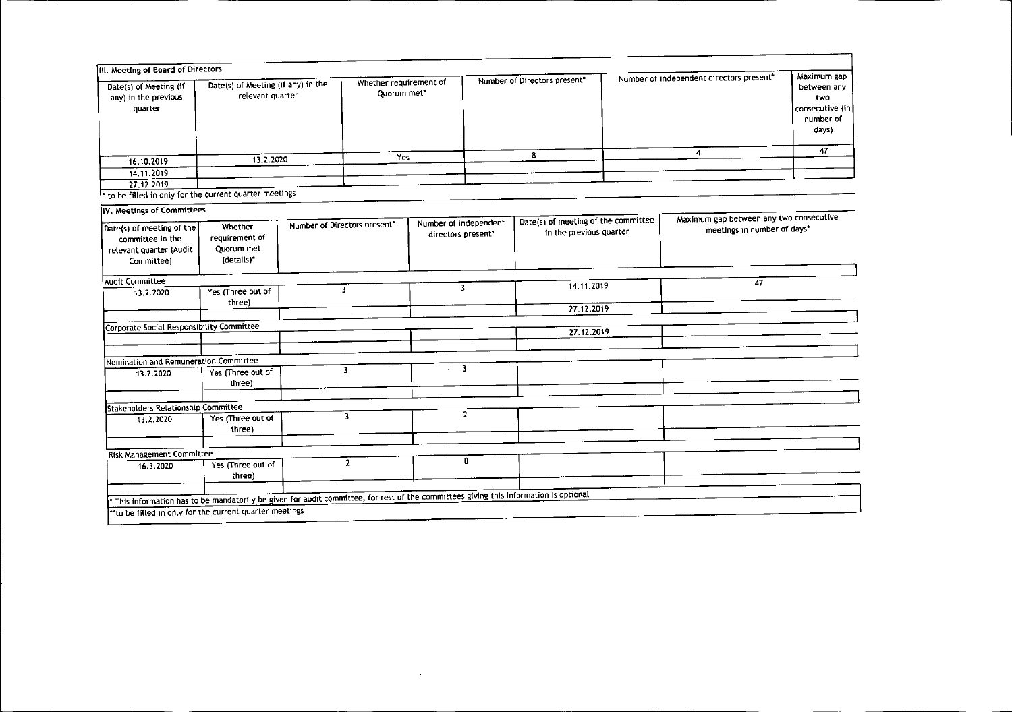| Date(s) of Meeting (if<br>any) in the previous<br>quarter                                                                           | III. Meeting of Board of Directors<br>Date(s) of Meeting (if any) in the<br>relevant quarter |                              | Whether requirement of<br>Quorum met* |                       | Number of Directors present" |                                     | Number of independent directors present* |                                         | Maximum gap<br>between any<br>two<br>consecutive (in<br>number of<br>days) |
|-------------------------------------------------------------------------------------------------------------------------------------|----------------------------------------------------------------------------------------------|------------------------------|---------------------------------------|-----------------------|------------------------------|-------------------------------------|------------------------------------------|-----------------------------------------|----------------------------------------------------------------------------|
|                                                                                                                                     |                                                                                              |                              | Yes                                   |                       |                              | 8                                   |                                          | $\overline{\mathbf{4}}$                 | 47                                                                         |
| 16.10.2019                                                                                                                          | 13.2.2020                                                                                    |                              |                                       |                       |                              |                                     |                                          |                                         |                                                                            |
| 14.11.2019                                                                                                                          |                                                                                              |                              |                                       |                       |                              |                                     |                                          |                                         |                                                                            |
| 27, 12, 2019                                                                                                                        |                                                                                              |                              |                                       |                       |                              |                                     |                                          |                                         |                                                                            |
| to be filled in only for the current quarter meetings                                                                               |                                                                                              |                              |                                       |                       |                              |                                     |                                          |                                         |                                                                            |
| IV. Meetings of Committees                                                                                                          |                                                                                              |                              |                                       |                       |                              |                                     |                                          |                                         |                                                                            |
| Date(s) of meeting of the                                                                                                           | Whether                                                                                      | Number of Directors present* |                                       | Number of independent |                              | Date(s) of meeting of the committee |                                          | Maximum gap between any two consecutive |                                                                            |
| committee in the                                                                                                                    | requirement of                                                                               |                              |                                       | directors present*    |                              | in the previous quarter             |                                          | meetings in number of days*             |                                                                            |
| relevant quarter (Audit                                                                                                             | Quorum met                                                                                   |                              |                                       |                       |                              |                                     |                                          |                                         |                                                                            |
| Committee)                                                                                                                          | (details)*                                                                                   |                              |                                       |                       |                              |                                     |                                          |                                         |                                                                            |
|                                                                                                                                     |                                                                                              |                              |                                       |                       |                              |                                     |                                          |                                         |                                                                            |
| Audit Committee                                                                                                                     |                                                                                              |                              |                                       |                       |                              | 14, 11.2019                         |                                          | 47                                      |                                                                            |
| 13.2.2020                                                                                                                           | Yes (Three out of                                                                            |                              | 3                                     |                       | 3                            |                                     |                                          |                                         |                                                                            |
|                                                                                                                                     | three)                                                                                       |                              |                                       |                       |                              | 27.12.2019                          |                                          |                                         |                                                                            |
|                                                                                                                                     |                                                                                              |                              |                                       |                       |                              |                                     |                                          |                                         |                                                                            |
| Corporate Social Responsibility Committee                                                                                           |                                                                                              |                              |                                       |                       |                              | 27.12.2019                          |                                          |                                         |                                                                            |
|                                                                                                                                     |                                                                                              |                              |                                       |                       |                              |                                     |                                          |                                         |                                                                            |
|                                                                                                                                     |                                                                                              |                              |                                       |                       |                              |                                     |                                          |                                         |                                                                            |
| Nomination and Remuneration Committee                                                                                               |                                                                                              |                              | $\overline{\mathbf{3}}$               |                       | $\overline{\mathbf{3}}$      |                                     |                                          |                                         |                                                                            |
| 13.2.2020                                                                                                                           | Yes (Three out of                                                                            |                              |                                       |                       |                              |                                     |                                          |                                         |                                                                            |
|                                                                                                                                     | three)                                                                                       |                              |                                       |                       |                              |                                     |                                          |                                         |                                                                            |
|                                                                                                                                     |                                                                                              |                              |                                       |                       |                              |                                     |                                          |                                         |                                                                            |
| Stakeholders Relationship Committee                                                                                                 | Yes (Three out of                                                                            |                              | $\overline{3}$                        |                       | $\overline{2}$               |                                     |                                          |                                         |                                                                            |
| 13.2.2020                                                                                                                           | three)                                                                                       |                              |                                       |                       |                              |                                     |                                          |                                         |                                                                            |
|                                                                                                                                     |                                                                                              |                              |                                       |                       |                              |                                     |                                          |                                         |                                                                            |
|                                                                                                                                     |                                                                                              |                              |                                       |                       |                              |                                     |                                          |                                         |                                                                            |
| <b>Risk Management Committee</b>                                                                                                    | Yes (Three out of                                                                            |                              | $\mathbf{2}$                          |                       | 0                            |                                     |                                          |                                         |                                                                            |
| 16.3.2020                                                                                                                           |                                                                                              |                              |                                       |                       |                              |                                     |                                          |                                         |                                                                            |
|                                                                                                                                     | three)                                                                                       |                              |                                       |                       |                              |                                     |                                          |                                         |                                                                            |
|                                                                                                                                     |                                                                                              |                              |                                       |                       |                              |                                     |                                          |                                         |                                                                            |
| This information has to be mandatorily be given for audit committee, for rest of the committees giving this information is optional |                                                                                              |                              |                                       |                       |                              |                                     |                                          |                                         |                                                                            |
| "to be filled in only for the current quarter meetings                                                                              |                                                                                              |                              |                                       |                       |                              |                                     |                                          |                                         |                                                                            |

 $\mathcal{L}(\mathcal{L}^{\mathcal{L}})$  and  $\mathcal{L}(\mathcal{L}^{\mathcal{L}})$  and  $\mathcal{L}(\mathcal{L}^{\mathcal{L}})$ 

j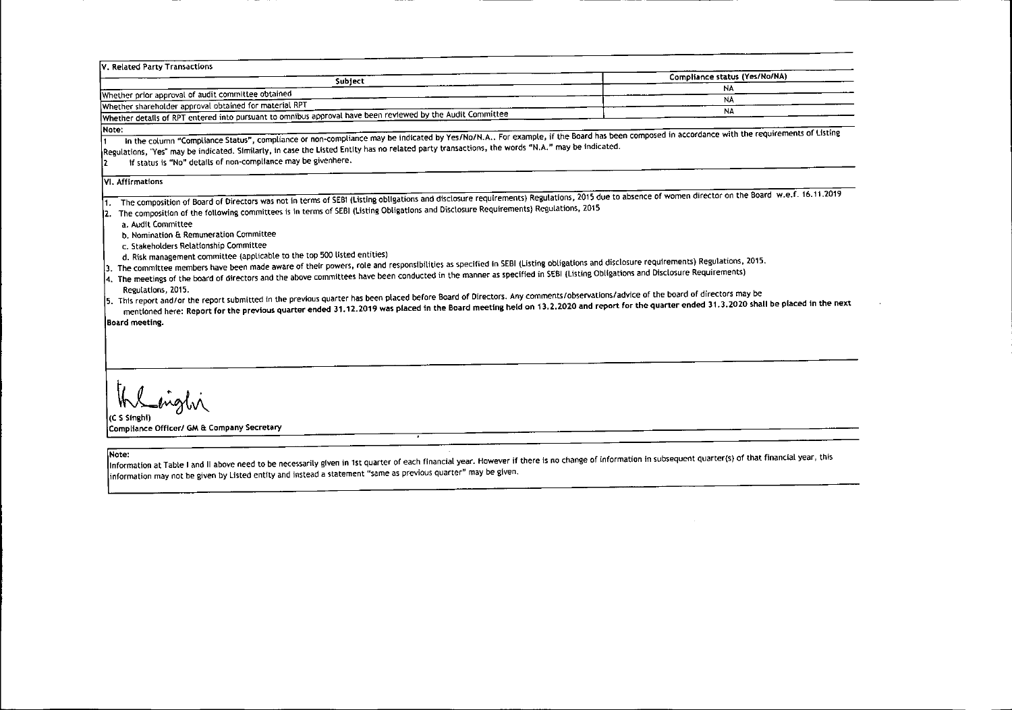| V. Related Party Transactions                                                                              |                               |
|------------------------------------------------------------------------------------------------------------|-------------------------------|
| Subject                                                                                                    | Compliance status (Yes/No/NA) |
|                                                                                                            |                               |
| Whether prior approval of audit committee obtained                                                         | N.                            |
| Whether shareholder approval obtained for material RPT                                                     | NA.                           |
| Whether details of RPT entered into pursuant to omnibus approval have been reviewed by the Audit Committee |                               |

### Note:

In the column "Compliance Status", compliance or non-compliance may be indicated by Yes/No/N.A.. For example, if the Board has been composed in accordance with the requirements of Listing Regulations, "Yes" may be indicated. Similarly, in case the Listed Entity has no related party transactions, the words "N.A." may be indicated.

2 If status is "No" details of non'compLiance may be givenhere.

### VI. Affirmations

1. The composition of Board of Directors was not in terms of SEBI (Listing obligations and disclosure requirements) Regulations, 2015 due to absence of women director on the Board w.e.f. 16.11.2019

2. The composition of the following committees is In terms of SEBI (listing Obligations and Disclosure Requirements) Regulations, 2015

a. Audit Committee

b. Nomination & Remuneration Committee

- c. Stakeholders Relationship Committee
- d. Risk management committee (applicable to the top 500 listed entities)

3. The committee members have been made aware of their powers, role and responsibilities as specified in SEBI (Listing obligations and disclosure requirements) Regulations, 2015.

4. The meetings of the board of directors and the above committees have been conducted in the manner as specified in SEBI (Listing Obligations and Disclosure Requirements)

Regulations, 2015. 5. This report and/or the report submitted in the previous quarter has been placed before Board of Directors. Any comments/observations/advice of the board of directors may be

mentioned here: Report for the previous quarter ended 31.12.2019 was placed in the Board meeting held on 13.2.2020 and report for the quarter ended 31.3.2020 shall be placed in the next

Board meeting.

(C\_S\_Singhi) Compliance Officer/ GM & Company Secretary

Note: Information at Table I and II above need to be necessarily given in 1st quarter of each financial year. However if there is no change of information in subsequent quarter(s) of that financial year, this information may not be given by listed entity and instead a statement "same as previous quarter" may be given.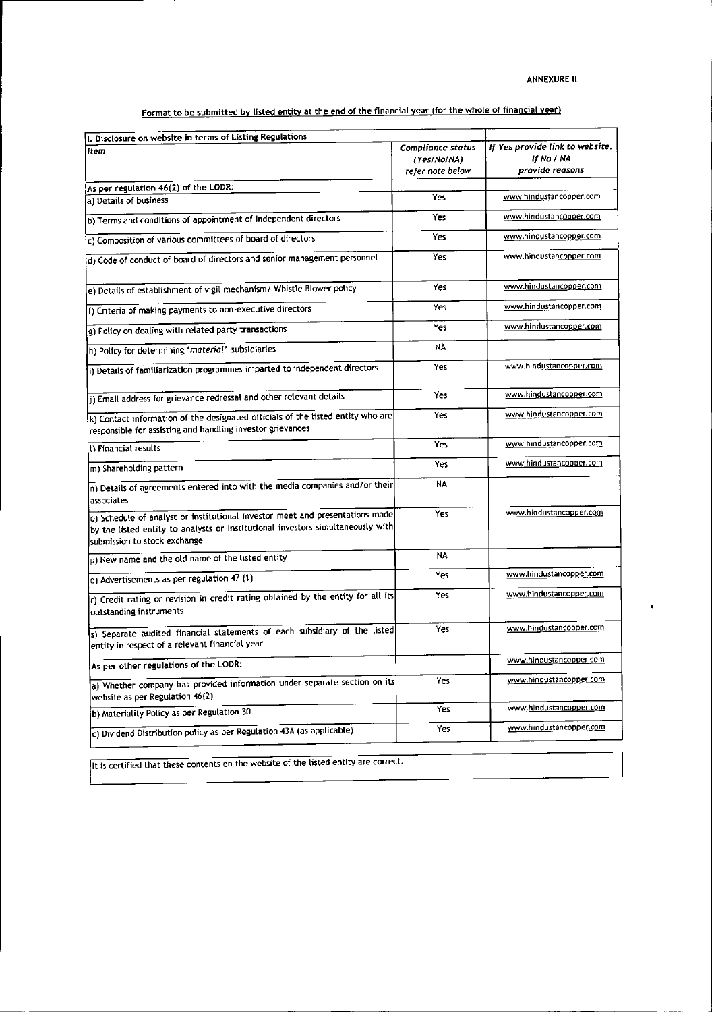$\bullet$ 

Format to be submitted by listed entity at the *end* of the financial year (for the whole of financial year)

| I. Disclosure on website in terms of Listing Regulations                                                                                                                                        |                                                             |                                                                  |
|-------------------------------------------------------------------------------------------------------------------------------------------------------------------------------------------------|-------------------------------------------------------------|------------------------------------------------------------------|
| item                                                                                                                                                                                            | <b>Compliance status</b><br>(Yes/No/NA)<br>refer note below | If Yes provide link to website.<br>if No / NA<br>provide reasons |
| As per regulation 46(2) of the LODR:                                                                                                                                                            |                                                             |                                                                  |
| a) Details of business                                                                                                                                                                          | Yes                                                         | www.hindustancopper.com                                          |
| b) Terms and conditions of appointment of independent directors                                                                                                                                 | Yes                                                         | www.hindustancopper.com                                          |
| c) Composition of various committees of board of directors                                                                                                                                      | Yes                                                         | www.hindustancopper.com                                          |
| d) Code of conduct of board of directors and senior management personnel                                                                                                                        | Yes                                                         | www.hindustan.copper.com                                         |
| e) Details of establishment of vigil mechanism/ Whistle Blower policy                                                                                                                           | Yes                                                         | www.hindustancopper.com                                          |
| f) Criteria of making payments to non-executive directors                                                                                                                                       | Yes                                                         | www.hindustancopper.com                                          |
| g) Policy on dealing with related party transactions                                                                                                                                            | Yes                                                         | www.hindustancopper.com                                          |
| h) Policy for determining 'material' subsidiaries                                                                                                                                               | NA                                                          |                                                                  |
| i) Details of familiarization programmes imparted to independent directors                                                                                                                      | Yes                                                         | www.hindustancopper.com                                          |
| j) Email address for grievance redressal and other relevant details                                                                                                                             | Yes                                                         | www.hindustancopper.com                                          |
| k) Contact information of the designated officials of the listed entity who are<br>responsible for assisting and handling investor grievances                                                   | Yes                                                         | www.hindustancopper.com                                          |
| () Financial results                                                                                                                                                                            | Yes                                                         | www.hindustancopper.com                                          |
| m) Shareholding pattern                                                                                                                                                                         | Yes                                                         | www.hindustancopper.com                                          |
| n) Details of agreements entered into with the media companies and/or their<br>associates                                                                                                       | N٨                                                          |                                                                  |
| o) Schedule of analyst or institutional investor meet and presentations made<br>by the listed entity to analysts or institutional investors simultaneously with<br>submission to stock exchange | Yes                                                         | www.hindustancopper.com                                          |
| p) New name and the old name of the listed entity                                                                                                                                               | NA                                                          |                                                                  |
| q) Advertisements as per regulation 47 (1)                                                                                                                                                      | Yes                                                         | www.hindustancopper.com                                          |
| $\ket{r}$ Credit rating or revision in credit rating obtained by the entity for all its<br>outstanding instruments                                                                              | Yes                                                         | www.hindustancopper.com                                          |
| s) Separate audited financial statements of each subsidiary of the listed<br>entity in respect of a relevant financial year                                                                     | Yes                                                         | www.hindustancopper.com                                          |
| As per other regulations of the LODR:                                                                                                                                                           |                                                             | www.hindustancopper.com                                          |
| a) Whether company has provided information under separate section on its<br>website as per Regulation 46(2)                                                                                    | Yes                                                         | www.hindustancopper.com                                          |
| b) Materiality Policy as per Regulation 30                                                                                                                                                      | Yes                                                         | www.hindustancopper.com                                          |
| c) Dividend Distribution policy as per Regulation 43A (as applicable)                                                                                                                           | Yes                                                         | www.hindustancopper.com                                          |
|                                                                                                                                                                                                 |                                                             |                                                                  |

It is certified that these contents on the website of the listed entity are correct.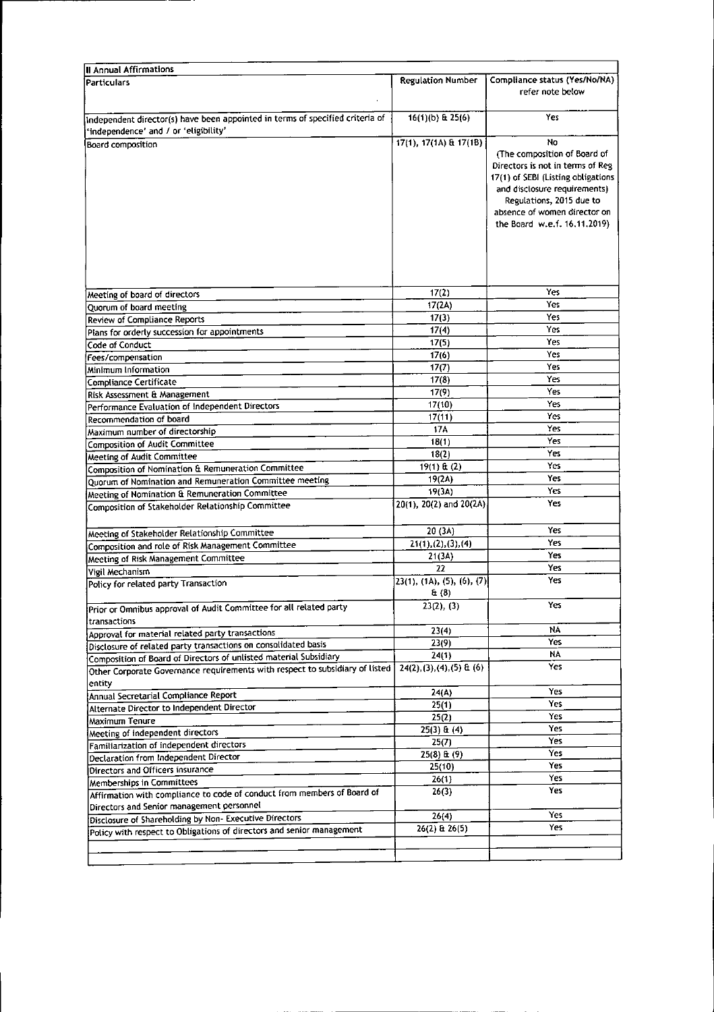| <b>II Annual Affirmations</b>                                                                                          |                                      |                                                                                                                                                                                                                                          |
|------------------------------------------------------------------------------------------------------------------------|--------------------------------------|------------------------------------------------------------------------------------------------------------------------------------------------------------------------------------------------------------------------------------------|
| <b>Particulars</b>                                                                                                     | <b>Regulation Number</b>             | Compliance status (Yes/No/NA)<br>refer note below                                                                                                                                                                                        |
| Independent director(s) have been appointed in terms of specified criteria of<br>'independence' and / or 'eligibility' | $16(1)(b)$ & $25(6)$                 | Yes                                                                                                                                                                                                                                      |
| Board composition                                                                                                      | 17(1), 17(1A) & 17(1B)               | No<br>(The composition of Board of<br>Directors is not in terms of Reg<br>17(1) of SEBI (Listing obligations<br>and disclosure requirements)<br>Regulations, 2015 due to<br>absence of women director on<br>the Board w.e.f. 16.11.2019) |
| Meeting of board of directors                                                                                          | 17(2)                                | Yes                                                                                                                                                                                                                                      |
| Quorum of board meeting                                                                                                | 17(2A)                               | Yes                                                                                                                                                                                                                                      |
| <b>Review of Compliance Reports</b>                                                                                    | 17(3)                                | Yes                                                                                                                                                                                                                                      |
| Plans for orderly succession for appointments                                                                          | 17(4)                                | Yes                                                                                                                                                                                                                                      |
| Code of Conduct                                                                                                        | 17(5)                                | Yes                                                                                                                                                                                                                                      |
| Fees/compensation                                                                                                      | 17(6)                                | Yes<br>Yes                                                                                                                                                                                                                               |
| Minimum Information                                                                                                    | 17(7)                                | Yes                                                                                                                                                                                                                                      |
| Compliance Certificate                                                                                                 | 17(8)                                | Yes                                                                                                                                                                                                                                      |
| Risk Assessment & Management                                                                                           | 17(9)                                | Yes                                                                                                                                                                                                                                      |
| Performance Evaluation of Independent Directors                                                                        | 17(10)                               | Yes                                                                                                                                                                                                                                      |
| Recommendation of board                                                                                                | 17(11)<br>17A                        | Yes                                                                                                                                                                                                                                      |
| Maximum number of directorship                                                                                         | 18(1)                                | Yes                                                                                                                                                                                                                                      |
| <b>Composition of Audit Committee</b>                                                                                  | 18(2)                                | Yes                                                                                                                                                                                                                                      |
| Meeting of Audit Committee                                                                                             | 19(1) & (2)                          | Yes                                                                                                                                                                                                                                      |
| Composition of Nomination & Remuneration Committee                                                                     | 19(2A)                               | Yes                                                                                                                                                                                                                                      |
| Quorum of Nomination and Remuneration Committee meeting                                                                | 19(3A)                               | Yes                                                                                                                                                                                                                                      |
| Meeting of Nomination & Remuneration Committee                                                                         | 20(1), 20(2) and 20(2A)              | Yes                                                                                                                                                                                                                                      |
| Composition of Stakeholder Relationship Committee                                                                      |                                      |                                                                                                                                                                                                                                          |
| Meeting of Stakeholder Relationship Committee                                                                          | 20 (3A)                              | Yes                                                                                                                                                                                                                                      |
| Composition and role of Risk Management Committee                                                                      | 21(1), (2), (3), (4)                 | Yes                                                                                                                                                                                                                                      |
| Meeting of Risk Management Committee                                                                                   | 21(3A)                               | Yes                                                                                                                                                                                                                                      |
| Vigil Mechanism                                                                                                        | 22                                   | Yes                                                                                                                                                                                                                                      |
| Policy for related party Transaction                                                                                   | [23(1), (1A), (5), (6), (7)]<br>E(8) | Yes                                                                                                                                                                                                                                      |
| Prior or Omnibus approval of Audit Committee for all related party<br>transactions                                     | 23(2), (3)                           | Yes                                                                                                                                                                                                                                      |
| Approval for material related party transactions                                                                       | 23(4)                                | ΝA                                                                                                                                                                                                                                       |
| Disclosure of related party transactions on consolidated basis                                                         | 23(9)                                | Yes                                                                                                                                                                                                                                      |
| Composition of Board of Directors of unlisted material Subsidiary                                                      | 24(1)                                | N٨                                                                                                                                                                                                                                       |
| Other Corporate Governance requirements with respect to subsidiary of listed<br>entity                                 | $24(2), (3), (4), (5)$ & (6)         | Yes                                                                                                                                                                                                                                      |
| Annual Secretarial Compliance Report                                                                                   | 24(A)                                | Yes                                                                                                                                                                                                                                      |
| Alternate Director to Independent Director                                                                             | 25(1)                                | Yes                                                                                                                                                                                                                                      |
| Maximum Tenure                                                                                                         | 25(2)                                | Yes                                                                                                                                                                                                                                      |
| Meeting of independent directors                                                                                       | $25(3)$ & $(4)$                      | Yes                                                                                                                                                                                                                                      |
| Familiarization of independent directors                                                                               | 25(7)                                | Yes                                                                                                                                                                                                                                      |
| Declaration from Independent Director                                                                                  | $25(8)$ & (9)                        | Yes                                                                                                                                                                                                                                      |
| Directors and Officers insurance                                                                                       | 25(10)                               | Yes                                                                                                                                                                                                                                      |
| Memberships in Committees                                                                                              | 26(1)                                | Yes<br>Yes                                                                                                                                                                                                                               |
| Affirmation with compliance to code of conduct from members of Board of                                                | 26(3)                                |                                                                                                                                                                                                                                          |
| Directors and Senior management personnel                                                                              |                                      | Yes                                                                                                                                                                                                                                      |
| Disclosure of Shareholding by Non-Executive Directors                                                                  | 26(4)                                | Yes                                                                                                                                                                                                                                      |
| Policy with respect to Obligations of directors and senior management                                                  | $26(2)$ & $26(5)$                    |                                                                                                                                                                                                                                          |
|                                                                                                                        |                                      |                                                                                                                                                                                                                                          |